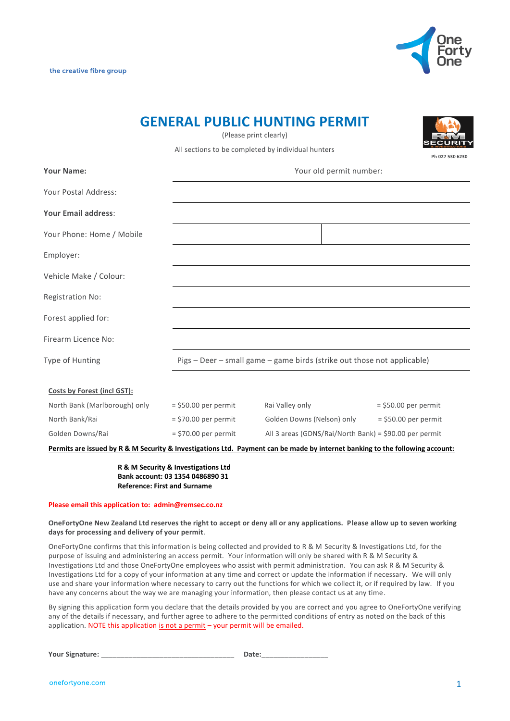



# **GENERAL PUBLIC HUNTING PERMIT**

**Ph 027 530 6230**

(Please print clearly)

All sections to be completed by individual hunters

| <b>Your Name:</b>             |                        | Your old permit number:                                                                                                      |                        |  |
|-------------------------------|------------------------|------------------------------------------------------------------------------------------------------------------------------|------------------------|--|
| Your Postal Address:          |                        |                                                                                                                              |                        |  |
| <b>Your Email address:</b>    |                        |                                                                                                                              |                        |  |
| Your Phone: Home / Mobile     |                        |                                                                                                                              |                        |  |
| Employer:                     |                        |                                                                                                                              |                        |  |
| Vehicle Make / Colour:        |                        |                                                                                                                              |                        |  |
| Registration No:              |                        |                                                                                                                              |                        |  |
| Forest applied for:           |                        |                                                                                                                              |                        |  |
| Firearm Licence No:           |                        |                                                                                                                              |                        |  |
| Type of Hunting               |                        | Pigs - Deer - small game - game birds (strike out those not applicable)                                                      |                        |  |
| Costs by Forest (incl GST):   |                        |                                                                                                                              |                        |  |
| North Bank (Marlborough) only | $=$ \$50.00 per permit | Rai Valley only                                                                                                              | $=$ \$50.00 per permit |  |
| North Bank/Rai                | $=$ \$70.00 per permit | Golden Downs (Nelson) only                                                                                                   | $=$ \$50.00 per permit |  |
| Golden Downs/Rai              | $=$ \$70.00 per permit | All 3 areas (GDNS/Rai/North Bank) = \$90.00 per permit                                                                       |                        |  |
|                               |                        | Permits are issued by R & M Security & Investigations Ltd. Payment can be made by internet banking to the following account: |                        |  |

 **R & M Security & Investigations Ltd Bank account: 03 1354 0486890 31 Reference: First and Surname**

#### **Please email this application to: admin@remsec.co.nz**

**OneFortyOne New Zealand Ltd reserves the right to accept or deny all or any applications. Please allow up to seven working days for processing and delivery of your permit**.

OneFortyOne confirms that this information is being collected and provided to R & M Security & Investigations Ltd, for the purpose of issuing and administering an access permit. Your information will only be shared with R & M Security & Investigations Ltd and those OneFortyOne employees who assist with permit administration. You can ask R & M Security & Investigations Ltd for a copy of your information at any time and correct or update the information if necessary. We will only use and share your information where necessary to carry out the functions for which we collect it, or if required by law. If you have any concerns about the way we are managing your information, then please contact us at any time.

By signing this application form you declare that the details provided by you are correct and you agree to OneFortyOne verifying any of the details if necessary, and further agree to adhere to the permitted conditions of entry as noted on the back of this application. NOTE this application is not a permit – your permit will be emailed.

**Your Signature:** \_\_\_\_\_\_\_\_\_\_\_\_\_\_\_\_\_\_\_\_\_\_\_\_\_\_\_\_\_\_\_\_\_\_ **Date:**\_\_\_\_\_\_\_\_\_\_\_\_\_\_\_\_\_